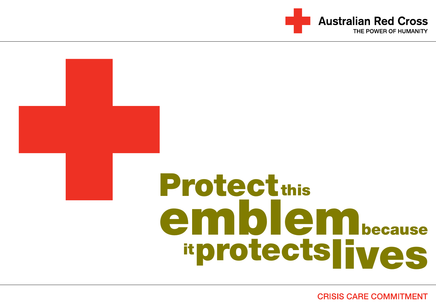

# **Protect this** emblembecause **itprotectslives**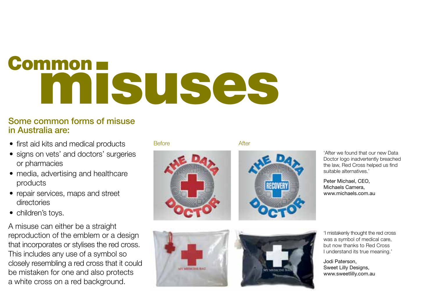## Common n SUSES

### Some common forms of misuse in Australia are:

- first aid kits and medical products
- signs on vets' and doctors' surgeries or pharmacies
- media, advertising and healthcare products
- repair services, maps and street directories
- children's tovs.

A misuse can either be a straight reproduction of the emblem or a design that incorporates or stylises the red cross. This includes any use of a symbol so closely resembling a red cross that it could be mistaken for one and also protects a white cross on a red background.

### Before **After**









'After we found that our new Data Doctor logo inadvertently breached the law, Red Cross helped us find suitable alternatives.<sup>1</sup>

Peter Michael, CEO, Michaels Camera, www.michaels.com.au

'I mistakenly thought the red cross was a symbol of medical care, but now thanks to Red Cross I understand its true meaning.'

Jodi Paterson, Sweet Lilly Designs, www.sweetlilly.com.au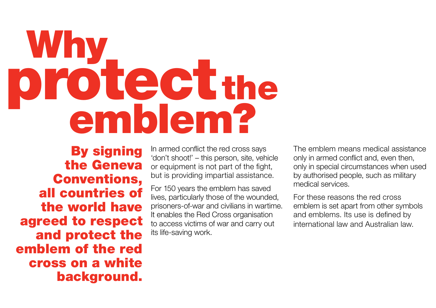### **Why** protectthe emblem?

By signing the Geneva Conventions, all countries of the world have agreed to respect and protect the emblem of the red cross on a white background.

In armed conflict the red cross says 'don't shoot!' – this person, site, vehicle or equipment is not part of the fight, but is providing impartial assistance.

For 150 years the emblem has saved lives, particularly those of the wounded, prisoners-of-war and civilians in wartime. It enables the Red Cross organisation to access victims of war and carry out its life-saving work.

The emblem means medical assistance only in armed conflict and, even then, only in special circumstances when used by authorised people, such as military medical services.

For these reasons the red cross emblem is set apart from other symbols and emblems. Its use is defined by international law and Australian law.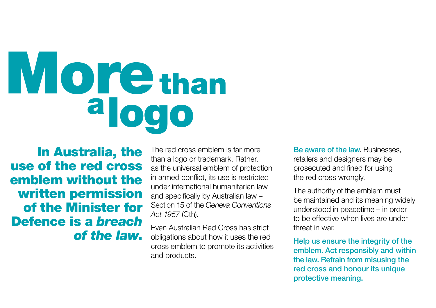## **More** than alogo

In Australia, the use of the red cross emblem without the written permission of the Minister for Defence is a *breach of the law*.

The red cross emblem is far more than a logo or trademark. Rather, as the universal emblem of protection in armed conflict, its use is restricted under international humanitarian law and specifically by Australian law – Section 15 of the *Geneva Conventions Act 1957* (Cth).

Even Australian Red Cross has strict obligations about how it uses the red cross emblem to promote its activities and products.

Be aware of the law. Businesses, retailers and designers may be prosecuted and fined for using the red cross wrongly.

The authority of the emblem must be maintained and its meaning widely understood in peacetime – in order to be effective when lives are under threat in war.

Help us ensure the integrity of the emblem. Act responsibly and within the law. Refrain from misusing the red cross and honour its unique protective meaning.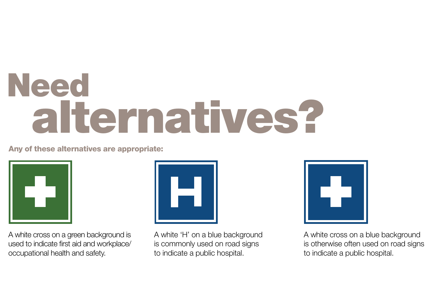### Need alternatives?

### Any of these alternatives are appropriate:



A white cross on a green background is used to indicate first aid and workplace/ occupational health and safety.



A white 'H' on a blue background is commonly used on road signs to indicate a public hospital.



A white cross on a blue background is otherwise often used on road signs to indicate a public hospital.